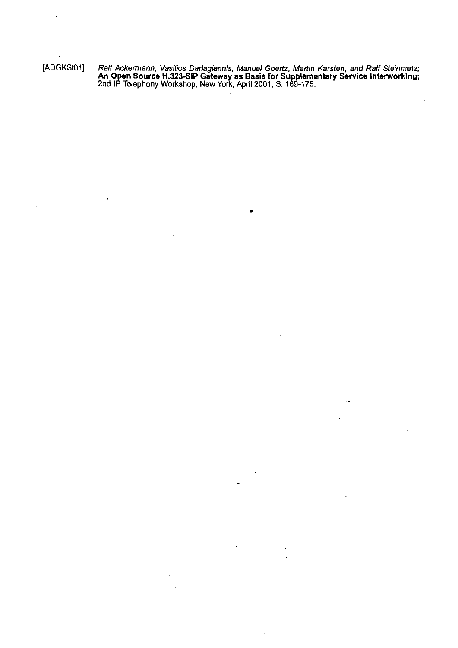[ADGKStOl] **Ralf Ackermann, Vasilios Darlagiannis, Manuel Goertz. Martin Karsten, and Ralf Steinmetz; An Open Source H.323SIP Gateway as Basis for Supplementary Service Interworklng; 2nd IP Telephony Workshop. New York, April 2001, S. 169-175.** 

ė

 $\cdot$  .

 $\hat{\boldsymbol{\theta}}$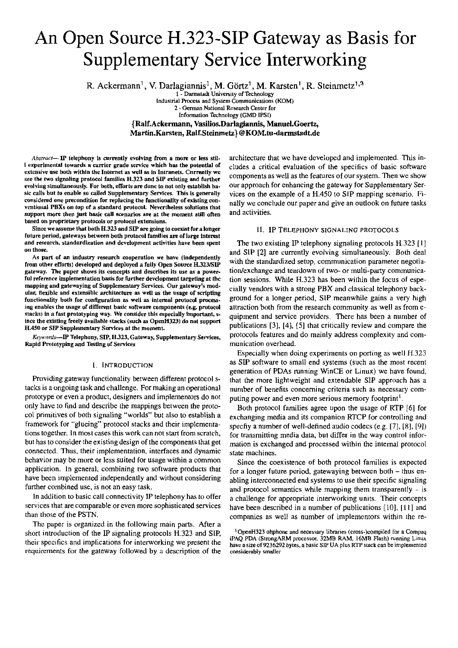# An Open Source H.323-SIP Gateway as Basis for **Supplementary Service Interworking**

R. Ackermann<sup>1</sup>, V. Darlagiannis<sup>1</sup>, M. Görtz<sup>1</sup>, M. Karsten<sup>1</sup>, R. Steinmetz<sup>1, 2</sup><br>1. Darmstadt University of Technology

Industrial Process and System Communications (KOM) 2 - German National Research Center for Information Technology (GMD IPSI) {Ralf.Ackermann, Vasilios.Darlagiannis, Manuel.Goertz, Martin.Karsten, Ralf.Steinmetz}@KOM.tu-darmstadt.de

Abstract-IP telephony is currently evolving from a more or less stil-I experimental towards a carrier grade service which has the potential of extensive use both within the Internet as well as in Intranets. Currently we see the two signaling protocol families H.323 and SIP existing and further evolving simultaneously. For both, efforts are done to not only establish basic calls but to enable so called Supplementary Services. This is generally considered one precondition for replacing the functionality of existing conventional PBXs on top of a standard protocol. Nevertheless solutions that support more then just basic call scenarios are at the moment still often based on proprietary protocols or protocol extensions.

Since we assume that both H.323 and SIP are going to coexist for a longer future period, gateways between both protocol families are of large interest and research, standardization and development activities have been spent on those.

As part of an industry research cooperation we have (independently from other efforts) developed and deployed a fully Open Source H.323/SIP gateway. The paper shows its concepts and describes its use as a powerful reference implementation basis for further development targeting at the mapping and gatewaying of Supplementary Services. Our gateway's modular, flexible and extensible architecture as well as the usage of scripting functionality both for configuration as well as internal protocol processing enables the usage of different basic software components (e.g. protocol stacks) in a fast prototyping way. We consider this especially important, since the existing freely available stacks (such as OpenH323) do not support H.450 or SIP Supplementary Services at the moment.

Keywords-IP Telephony, SIP, H.323, Gateway, Supplementary Services, Rapid Prototyping and Testing of Services

#### I. INTRODUCTION

Providing gateway functionality between different protocol stacks is a ongoing task and challenge. For making an operational prototype or even a product, designers and implementors do not only have to find and describe the mappings between the protocol primitives of both signaling "worlds" but also to establish a framework for "glueing" protocol stacks and their implementations together. In most cases this work can not start from scratch, but has to consider the existing design of the components that get connected. Thus, their implementation, interfaces and dynamic behavior may be more or less suited for usage within a common application. In general, combining two software products that have been implemented independently and without considering further combined use, is not an easy task.

In addition to basic call connectivity IP telephony has to offer services that are comparable or even more sophisticated services than those of the PSTN.

The paper is organized in the following main parts. After a short introduction of the IP signaling protocols H.323 and SIP, their specifics and implications for interworking we present the requirements for the gateway followed by a description of the architecture that we have developed and implemented. This includes a critical evaluation of the specifics of basic software components as well as the features of our system. Then we show our approach for enhancing the gateway for Supplementary Services on the example of a H.450 to SIP mapping scenario. Finally we conclude our paper and give an outlook on future tasks and activities.

#### II. IP TELEPHONY SIGNALING PROTOCOLS

The two existing IP telephony signaling protocols H.323 [1] and SIP [2] are currently evolving simultaneously. Both deal with the standardized setup, communication parameter negotiation/exchange and teardown of two- or multi-party communication sessions. While H.323 has been within the focus of especially vendors with a strong PBX and classical telephony background for a longer period, SIP meanwhile gains a very high attraction both from the research community as well as from equipment and service providers. There has been a number of publications [3], [4], [5] that critically review and compare the protocols features and do mainly address complexity and communication overhead.

Especially when doing experiments on porting as well H.323 as SIP software to small end systems (such as the most recent generation of PDAs running WinCE or Linux) we have found, that the more lightweight and extendable SIP approach has a number of benefits concerning criteria such as necessary computing power and even more serious memory footprint<sup>1</sup>.

Both protocol families agree upon the usage of RTP [6] for exchanging media and its companion RTCP for controlling and specfiy a number of well-defined audio codecs  $(e.g. [7], [8], [9])$ for transmitting media data, but differ in the way control information is exchanged and processed within the internal protocol state machines.

Since the coexistence of both protocol families is expected for a longer future period, gatewaying between both  $-$  thus enabling interconnected end systems to use their specific signaling and protocol semantics while mapping them transparently  $-$  is a challenge for appropriate interworking units. Their concepts have been described in a number of publications [10], [11] and companies as well as number of implementors within the re-

<sup>&</sup>lt;sup>1</sup>OpenH323 ohphone and necessary libraries (cross-)compiled for a Compaq iPAQ PDA (StrongARM processor, 32MB RAM, 16MB Flash) running Linux have a size of 9236292 bytes, a basic SIP UA plus RTP stack can be implemented considerably smaller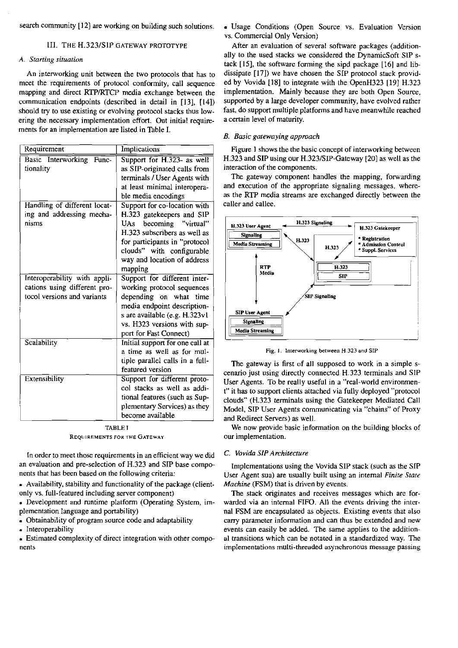# 111. THE H.323lSIP **GATEWAY PROTOTYPE**

# *A. Srarting siruarion*

|                                                                                                    | search community [12] are working on building such solutions.                                                                                                                                                                                                                                                                                                                             | « Usage Conditions (Open Source vs. Evaluation Version<br>vs. Commercial Only Version)                                                                                                                                                                                                                                                                                                       |
|----------------------------------------------------------------------------------------------------|-------------------------------------------------------------------------------------------------------------------------------------------------------------------------------------------------------------------------------------------------------------------------------------------------------------------------------------------------------------------------------------------|----------------------------------------------------------------------------------------------------------------------------------------------------------------------------------------------------------------------------------------------------------------------------------------------------------------------------------------------------------------------------------------------|
| III. THE H.323/SIP GATEWAY PROTOTYPE                                                               |                                                                                                                                                                                                                                                                                                                                                                                           | After an evaluation of several software packages (addition-                                                                                                                                                                                                                                                                                                                                  |
| A. Starting situation                                                                              |                                                                                                                                                                                                                                                                                                                                                                                           | ally to the used stacks we considered the DynamicSoft SIP s-<br>tack [15], the software forming the sipd package [16] and lib-                                                                                                                                                                                                                                                               |
| ments for an implementation are listed in Table I.                                                 | An interworking unit between the two protocols that has to<br>meet the requirements of protocol conformity, call sequence<br>mapping and direct RTP/RTCP media exchange between the<br>communication endpoints (described in detail in [13], [14])<br>should try to use existing or evolving protocol stacks thus low-<br>ering the necessary implementation effort. Out initial require- | dissipate [17]) we have chosen the SIP protocol stack provid-<br>ed by Vovida [18] to integrate with the OpenH323 [19] H.323<br>implementation. Mainly because they are both Open Source,<br>supported by a large developer community, have evolved rather<br>fast, do support multiple platforms and have meanwhile reached<br>a certain level of maturity.<br>B. Basic gatewaying approach |
| Requirement                                                                                        | Implications                                                                                                                                                                                                                                                                                                                                                                              | Figure 1 shows the the basic concept of interworking between                                                                                                                                                                                                                                                                                                                                 |
| Basic Interworking Func-<br>tionality                                                              | Support for H.323- as well<br>as SIP-originated calls from<br>terminals / User Agents with<br>at least minimal interopera-<br>ble media encodings                                                                                                                                                                                                                                         | H.323 and SIP using our H.323/SIP-Gateway [20] as well as the<br>interaction of the components.<br>The gateway component handles the mapping, forwarding<br>and execution of the appropriate signaling messages, where-<br>as the RTP media streams are exchanged directly between the                                                                                                       |
| Handling of different locat-<br>ing and addressing mecha-<br>nisms<br>Interoperability with appli- | Support for co-location with<br>H.323 gatekeepers and SIP<br>UAs becoming "virtual"<br>H.323 subscribers as well as<br>for participants in "protocol<br>clouds" with configurable<br>way and location of address<br>mapping<br>Support for different inter-                                                                                                                               | caller and callee.<br>H.323 Signaling<br>H.323 User Agent<br>H.323 Gatekeeper<br><b>Signaling</b><br>* Registration<br>H.323<br><b>Media Streaming</b><br>* Admission Control<br>H.323<br>* Suppl. Services<br>RTP<br>H.323<br>Media<br>SIP                                                                                                                                                  |
| cations using different pro-<br>tocol versions and variants                                        | working protocol sequences<br>depending on what time<br>media endpoint description-<br>s are available (e.g. H.323v1<br>vs. H323 versions with sup-<br>port for Fast Connect)                                                                                                                                                                                                             | <b>SIP Signaling</b><br><b>SIP User Agent</b><br>Signaling<br><b>Media Streaming</b>                                                                                                                                                                                                                                                                                                         |
| Scalability                                                                                        | Initial support for one call at<br>a time as well as for mul-<br>tiple parallel calls in a full-<br>featured version                                                                                                                                                                                                                                                                      | Fig. 1. Interworking between H.323 and SIP<br>The gateway is first of all supposed to work in a simple s-<br>cenario just using directly connected H.323 terminals and SIP                                                                                                                                                                                                                   |
| Extensibility                                                                                      | Support for different proto-<br>col stacks as well as addi-<br>tional features (such as Sup-<br>plementary Services) as they<br>become available                                                                                                                                                                                                                                          | User Agents. To be really useful in a "real-world environmen-<br>t" it has to support clients attached via fully deployed "protocol<br>clouds" (H.323 terminals using the Gatekeeper Mediated Call<br>Model, SIP User Agents communicating via "chains" of Proxy<br>and Redirect Servers) as well.                                                                                           |

**TABLE 1**  REQUIREMENTS FOR THE GATEWAY

In order to meet those requirements in an efficient way we did an evaluation and pre-selection of H.323 and SIP base components that has been based on the following critena:

Availability, stability and functionality of the package (clientonly vs. full-featured including server component)

. Development and mntime platform (Operating System, implementation language and portability) • Development and Tuntume platform (Operating System<br>plementation language and portability)<br>• Obtainability of program source code and adaptability

• Obtainability of<br>• Interoperability

. Estimated complexity of direct integration witb other components

# *B. Basic garewaying appmach*



Fig. I. **Interworking** between H323 **und SIP** 

We now provide basic information on the building blocks of our implementation.

# *C. Vovidn SIP Archirecture*

Implementations using the Vovida SIP stack (such as the SIP User Agent sua) are usually built using an intemal *Finite Sratr Machine* (FSM) that is driven by events.

The stack originates and receives messages which are forwarded via an internal FIFO. All the events driving the internal FSM **are** encapsulated as objects. Existing events that also carry parameter information and can thus be extended and new events can easily be added. The same applies to the additional transitions which can be notated in a standardized way. The implementations multi-threaded asynchronous message passing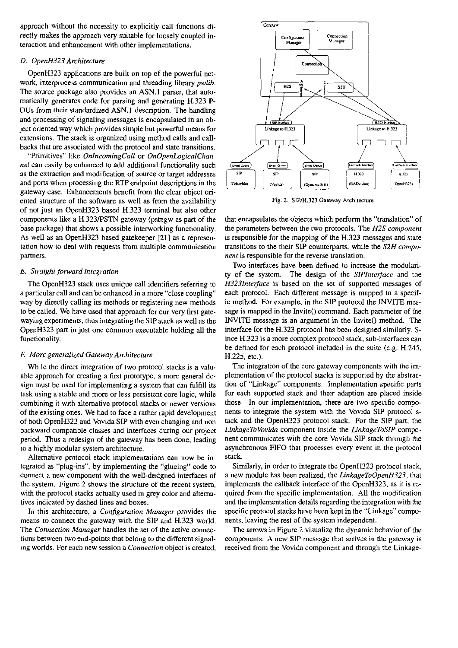approach without the necessity to explicitly call functions directly makes the approach very suitable for loosely coupled interaction and enhancement with other implementations.

# *D. OpenH323 Architecture*

OpenH323 applications are built on top of the powerful network. interprocess communication and threading library *pwlib.*  The source package also provides an ASN.1 parser, that automatically generates code for parsing and generating H.323 P-DUs from their standardized ASN.1 description. The handling and processing of signaling messages is encapsulated in an object oriented way which provides simple but powerful means for extensions. The stack is organized using method calls and callbacks that are associated with the protocol and state transitions.

"Primitives" like *OnlncomingCall* or *OnOpenLogicaIChannel* can easily be enhanced to add additional functionality such as the extraction and modification of source or target addresses and ports when processing the RTP endpoint descriptions in the gateway case. Enhancements benefit from the clear object oriented structure of the software as well as from the availability of not just an OpenH323 based H.323 terminal but also other components like a H.323PSTN gateway (pstngw as part of the base package) that shows a possible interworking functionality. As well as an OpenH323 based gatekeeper [21] as a representation how to deal with requests from multiple communication partners.

# *E. Straight-forward Integration*

The OpenH323 stack uses unique call identifiers referring to a particular call and can be enhanced in a more "close coupling" way by directly calling its methods or registering new methods to be called. We have used that approach for our very first gatewayingexperiments, thus integrating the SIP stack as well as the OpenH323 part in just one common executable holding all the functionality.

# E *More generalried Gareway Architecture*

While the direct integration of two protocol stacks is a valuable approach for creating a first prototype, a more general design must be used for implementing a system that can fulfill its task using a stable and more or less persistent core logic, while combining it with alternative protocol stacks or newer versions of the existing ones. We had to face a rather rapid development of both OpenH323 and Vovida SIP with even changing and non backward compatible classes and interfaces during our project period. Thus a redesign of the gateway has been done, leading to a highly modular system architecture.

Alternative protocol stack implementations ean now be integrated as "plug-ins", by implementing the "glueing" code to connect a new component with the well-designed interfaces of the system. Figure 2 shows the structure of the recent system. with the protocol stacks actually used in grey color and alternatives indicated by dashed lines and boxes.

In this architecture, a *Confrguration Manager* provides the means to connect the gateway with the SIP and H.323 world. The *Connection Manager* handles the sei of the active connections between two end-points that belong to the different signaling worlds. For each new session a *Connection* object is created.



Fig. **2. SIPM.323 Gaieway Architecrure** 

that encapsulates the objects which perform the "translation" of the Parameters between the two protocols. The *H2S component*  is responsible for the mapping of the H.323 messages and state transitions to the their S1P Counterparts, while the *S2H component* is responsible for the reverse translation.

Two interfaces have been defined to increase the modularity of the system. The design of the *SIPlnteface* and the *H323Interface* is based on the set of supported messages of each protocol. Each different message is mapped to a specific method. For example, in the SIP protocol the INVITE message is mapped in the Invite() command. Each parameter of the INVITE message is an argument in the Invite() method. The interface for the H.323 protocol has been designed similarly. Since H.323 is a more complex protocol stack, sub-interfaces can be defined for each protocol included in the suite (e.g.  $H.245$ , H.225, etc.).

The integration of the core gateway components with the implementation of the pmtocol sracks is supported by the abstraction of "Linkage" components. Implementation specific parts for each supported stack and their adaption are placed inside those. In our implementation, there are two specific components to integrate the system with the Vovida SIP protocol stack and the OpenH323 protocol srack. For the SIP part, the *LinkageToVovida* component inside the *LinkageToSIP* component communicates with the core Vovida SIP stack through the asynchronous FIFO that processes every event in the protocol stack.

Similarly, in order to integrate the OpenH323 protocol stack, a new module has been realized, tbe *LinkageToOpenH323,* that implements the callback interface of the OpenH323, as it is required from the specific implementation. All the modification and the implementation details regarding the integration with the specific protocol stacks have been kept in the "Linkage" components. leaving the rest of the system independent.

The arrows in Figure 2 visualize the dynamic behavior of the components. A new SIP message that arrives in the gateway is received from the Vovida component and through the Linkage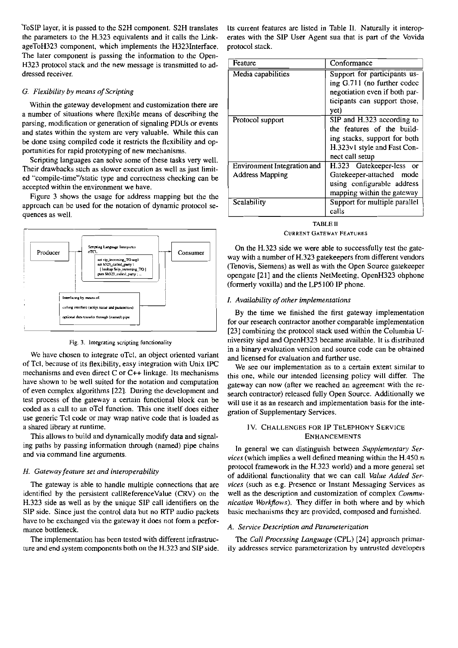ToSIP layer, it is passed to the S2H component. S2H translates Its current features are listed in Table II. Naturally it interoption parameters to the H.323 equivalents and it calls the Link-erates with the SIP User Agent ageToH323 component, which implements the H323Interface. protocol stack. The later component is passing the information to the Open-H323 protocol stack and the new message is transmitted to addressed receiver.

# *G. Flexibility by means of Scripting*

Within the gateway development and customization there are a number of situations where flexible means of descrihing the parsing. modification or generation of signaling PDUs or events and states within the system are very valuable. While this can be done using compiled code it restricts the flexibility and opportunities for rapid prototyping of new mechanisms.

Scripting languages can solve some of these tasks very well. Their drawbacks such as slower execution as well as just limited "compile-time"/static type and correctness checking can be accepted within the environment we have.

Figure 3 shows the usage for address mapping but the the approach can be used for the notation of dynamic protocol sequences as well.



We have chosen to integrate oTcl, an object oriented variant and licensed for evaluation and further use,<br>of Tcl, because of its flexibility, easy integration with Unix IPC We see our implementation as to a certain extent mechanisms and even direct C or C++ linkage. Its mechanisms this one, while our intended licensing policy will differ. The have shown to be well suited for the notation and computation have shown to be well suited for the notation and computation gateway can now (after we reached an agreement with the re-<br>of even complex algorithms [22]. During the development and search contractor) released fully Open S of even complex algorithms  $[22]$ . During the development and search contractor) released fully Open Source. Additionally we test process of the gateway a certain functional block can be  $m$ ill use it as an respected and coded as a call to an oTcl function. This one itself does either gration of Supplementary Services. use generic Tcl code or may wrap native code that is loaded as a shared lihrary at mntime. 1V. CHALLENGES FOR 1P TELEPHONY SERVICE

This allows to build and dynamically modify data and signal- ENHANCEMENTS ing paths by passing information through (named) pipe chains <br>and via command line arguments.<br>piece (which implies a well defined meaning within the H 450 m

identified by the persistent callReferenceValue (CRV) on the well as the description and customization of complex *Commu-*SIP side. Since just the control data but no RTP audio packets basic mechanisms they are provided, composed and fumished. have to be exchanged via the gateway it does not form a performance bottleneck.<sup>2</sup> *C C C C C C C A. Service Description and Parameterization*

ture and end system components both on the H.323 and SIP side. ily addresses service parameterization by untrusted developers

erates with the SIP User Agent sua that is part of the Vovida

| Feature                     | Conformance                                                                                                                                |  |  |
|-----------------------------|--------------------------------------------------------------------------------------------------------------------------------------------|--|--|
| Media capabilities          | Support for participants us-<br>ing G.711 (no further codec<br>negotiation even if both par-<br>ticipants can support those,<br>yet)       |  |  |
| Protocol support            | SIP and H.323 according to<br>the features of the build-<br>ing stacks, support for both<br>H.323v1 style and Fast Con-<br>nect call setup |  |  |
| Environment Integration and | H.323 Gatekeeper-less<br><b>OF</b>                                                                                                         |  |  |
| <b>Address Mapping</b>      | Gatekeeper-attached<br>mode<br>using configurable address<br>mapping within the gateway                                                    |  |  |
| Scalability                 | Support for multiple parallel<br>calls                                                                                                     |  |  |
| TABLE II                    |                                                                                                                                            |  |  |

CURRENT GATEWAV FEATURES

On the H.323 side we were ahle to successfully test the gate-  $\frac{1}{\text{set } sp2.2 \text{ cell } p \text{ any}}$ <br>  $\frac{1}{\text{total } sp2.2 \text{ cell } p \text{ any}}$ <br>  $\frac{1}{\text{total } sp2.2 \text{ cell } p \text{ any}}$ <br>  $\frac{1}{\text{total } sp2.2 \text{ cell } p \text{ and}}$ <br>  $\frac{1}{\text{total } sp2.2 \text{ cell } p \text{ and}}$ <br>  $\frac{1}{\text{total } sp2.2 \text{ cell } p \text{ and}}$ <br>  $\frac{1}{\text{total } sp2.2 \text{ cell } p \text{ and}}$ <br>  $\frac{1}{\text{total } sp2.2 \text{$ opengate [21] and the clients NetMeeting. OpenH323 ohphone (formerly voxilla) and the LP5100 IP phone.

### *I. Availabilify of other implementations*

By the time we finished the first gateway implementation for our research contractor another comparable implementation [23] combining the protocol stack used within the Columbia U-Fig. **3. lntegrating scripting functionality** niversity sipd and OpenH323 became available. It is distributed in a binary evaluation version and source code can be ohtained

will use it as an research and implementation basis for the inte-

*vices* (which implies a well defined meaning within the H.450. $n$ pmtocol framework in the H.323 world) and a more general set *H. Gaieway featrrre set and intemperabilify* of additional hinctionality that we can call *Value Added Ser-*The gateway is able to handle multiple connections that are *vices* (such as e.g. Presence or lnstant Messaging Services as H.323 side as well as by the unique SIP call identifiers on the *nication Workflows).* They differ in both where and by which

The implementation has been tested with different infrastruc-<br>The *Call Processing Language* (CPL) [24] approach primar-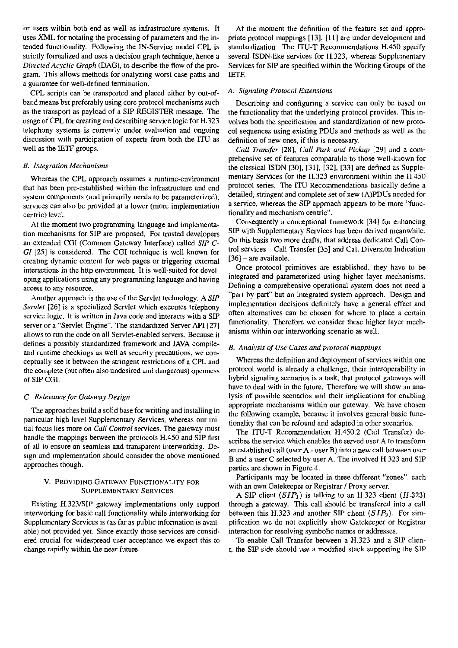Or Users within both end as well as infrastmcture systems. It uses XML for notating the processing of parameters and the intended functionality. Following the iN-Service model CPL is strictly formalized and uses a decision graph technique, hence a *Directed Acyclic Graph* (DAG), to describe the flow of the program. This allows methods for analyzing worst-case paths and a guarantee for well-defined termination.

CPL scripts can be transported and placed either by out-ofband means but preferably using core protocol mechanisms such as the transport as payload of a SIP REGISTER message. The usage of CPL for creating and describing service logic for H.323 telephony systems is currently under evaluation and ongoing discussion with participation of experts from hoth the ITU as well as the **IETF** groups.

### *B. Itlregration Mechoriisms*

Whereas the CPL approach assumes a runtime-environment that has been pre-established within the infrastmcture and end system components (and primarily needs to be parameterized), services can also be provided at a lower (more implementation centric) level.

At the momerit two programming language and implementation mechanisms for SIP are proposed. For tmsted developers an extended CGI (Common Gateway Interface) called *SIP C-GI* [25] is considered. The CGI technique is well known for creating dynamic content for web pages or uiggering extemal interactions in the http environment. It is well-suited for developing applications using any programming language and having access to any resource.

Another approach is the use of the Servlet technology. A *SIP Servlet* [26] is a specialized Servlet which executes telephony service logic. It is written in Java code and interacts with a SIP server or a "Servlet-Engine". The standardized Server API [27] allows to run the code on all Servlet-enabled servers. Because it defines a possibly standardized framework and JAVA compileand runtime checkings as well as security precautions, we conceptually see it between the stringent restrictions of a CPL and the cornplete (but often also undesired and dangerous) openness of SIP CGI.

# *C Relevoncr fur Gateway Design*

The approaches build a solid base for writting and installing in particular high level Supplementary Services, whereas our initial focus lies more on *Ca11 Cantrol* services. The gateway must handle the mappings between the protocols H.450 and SIP first of all to ensure an seamless and transparent intenvorking. Design and implementation should consider the above mentioned approaches though.

# V. PROVIDING GATEWAY FUNCTIONALITY FOR SUPPLEMENTARY SERVICES

Existing H.323/SIP gateway implementations only support intenvorking for basic call functionality while intenvorking for Supplementary Services is (as far as public information is available) not provided yet. Since exactly those services are considerd cmcial for widespread User acceptance we expect this to change rapidly within the near future.

At the moment the definition of the feature set and appropriate protocol mappings [13], [ll] are under development and standardization. The ITU-T Recommendations H.450 specify several ISDN-like services for H.323, whereas Supplementary Services for SIP are specified within the Working Groups of the IETF.

### *A. Signaling Pmtocol Extensions*

Describing and configuring a service can only be based on the functionality that the underlying protocol provides. This involves hoth the specification and standardization of new protocol sequences using existing PDUs and methods as well **as** the definition of new ones. if this is necessary.

*Ca11 Tramfer* [28], *Ca11 Park arid Pickup* [29] and a comprehensive set of features comparable to those well-known for the classical ISDN  $[30]$ ,  $[31]$ ,  $[32]$ ,  $[33]$  are defined as Supplementary Services for the H.323 environment within the H.450 protocol series. The ITU Recommendations basically define a detailed, stringent and complete set of new (A)PDUs needed for a service, whereas the SIP approach appears to be more "functionality and mechanism centric".

Consequently a conceptional framework [34] for enhancing SLP with Supplementary Services has been derived meanwhile. On this basis two more drafts. that address dedicated Call Control services - Call Transfer [35] and Call Diversion lndication  $[36]$  – are available.

Once protocol primitives **are** established. they have to be integrated and parameterized using higher layer mechanisms. Defining a comprehensive operational system does not need a "part by part" but an integrated system approach. Design and implementation decisions definitely have a general effect and often alternatives can be chosen for where to place a certain functionality. Therefore we consider these higher layer mechanisms within out intenvorking scenario as well.

# *B. Analysis of Use Cases and pmrocul mappings*

Whereas the definition and deployment of services within one protocol world is already a challenge, their interoperability in hybrid signaling scenarios is a task, that protocol gateways will have to deal with in the future. Therefore we will show an analysis of possible scenarios and their implications for enabling appropriate mechanisms within out gateway. We have chosen the following example. because it involves general basic functionality that can be refound and adapted in other scenarios.

The ITU-T Recommendation H.450.2 (Call Transfer) describes the service which enables the served user A to transform an established call (user  $A -$ user  $B$ ) into a new call between user B and a user C selected by User A. The involved H.323 and SIP patties are shown in Figure 4.

Participants may be located in three different "zones", each with an own Gatekeeper or Registrar / Proxy server.

A SIP client  $(SIP_1)$  is talking to an H.323 client  $(H.323)$ through a gateway. This call should be transfered into a call between this H.323 and another SiP client **(SIP2).** For simplification we do not explicitly show Gatekeeper or Registrar interaction for resolving symbolic names or addresses.

To enable Call Transfer between a H.323 and a SIP client. the SiP side should use a modified stack supporting the SIP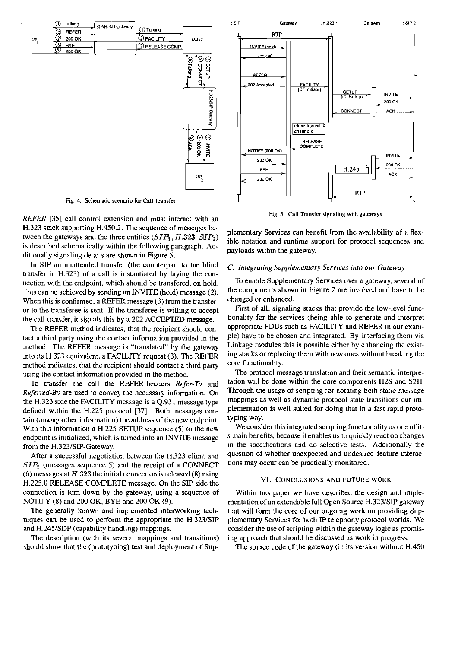

Fig. 4. Schematic scenario for Call Transfer

*REFER* [35] call control extension and must interact with an H.323 stack supporting H.450.2. The sequence of messages between the gateways and the three entities  $(SIP_1, H.323, SIP_2)$ is descnbed schernatically within the following paragraph. Additionally signaling details are shown in Figure 5.

In SIP an unattended transfer (the Counterpart to the blind transfer in H.323) of a call is instantiated by laying the connection with the endpoint, which should be transfered, on hold. This can be achieved by sending an INVITE (hold) message (2). When this is confirmed, a REFER message (3) from the transferor to the transferee is sent. If the transferee is willing to accept the call transfer, it signals this by a 202 ACCEPTED message.

The REFER rnethod indicates, that the recipient should contact a third party using the contact information provided in the method. The REFER message is "translated" by the gateway into its H.323 equivalent. a FACILITY request (3). The REFER method indicates, that the recipient should eontact a third party using the contact information provided in the method.

To transfer the call the REFER-headers *Refer-To* and *Referred-By* are used to convey the necessary information. On the H.323 side the FACILITY message is a  $Q.931$  message type defined within the H.225 protocol [37]. Both messages contain (among other infonnation) the address of the new endpoint. With this information a H.225 SETUP sequence (5) to the new endpoint is initialized, which is tumed into an **iNViTE** message from the H.323/SIP-Gateway.

After a successful negotiation between the H.323 client and  $SIP<sub>2</sub>$  (messages sequence 5) and the receipt of a CONNECT (6) messages at *H.323* the initial connection is released (8) using H.225.0 RELEASE COMPLETE message. On the SIP side the connection is tom down by the gateway, using a sequence of NOTIFY (8) and 200 OK, BYE and 200 OK (9).

The generally known and implemented interworking techniques can be used to perform the appropriate the H.323/SIP and H.245/SDP (capability handling) mappings.

The description (with its several mappings and transitions) should show that the (prototyping) test and deployment of Sup-



Fig. **5.** Call Transfer **signaling with** gareways

plementary Services can benefit from the availability of a flexible notation and mntime Support for protocol sequences and payloads within the gateway.

#### *C. Integrating Supplementaty Services into our Gareway*

To enable Supplementary Services over a gateway, several of the cornponents shown in Figure 2 are involved and have to be changed or enhanced.

First of all. signaling stacks that provide the low-level functionality for the services (being able to generate and interpret appropriate PDUs such as FACILITY and REFER in our example) have to be chosen and integrated. By interfacing them via Linkage modules this is possible either by enhancing the existing stacks or replacing them witb new ones without breaking the core functionality.

The protocol message translation and their semantic interpretation will be done within the core components H2S and S2H. Through the usage of scripting for notating both static message mappings as well as dynamic protocol state transitions our implementation is well suited for doing that in a fast rapid prototyping way.

We consider this integrated scripting functionality as one of its main benefits, because it enables us to quickly react on changes in the specifications and do selective tests. Additionally the question of whether unexpected and undesired feature interactions may occur can be practically rnonitored.

### VI. CONCLUSIONS AND FUTURE WORK

Within this paper we have described the design and implementation of an extendable full Open Source H.323/SIP gateway that will form the core of our ongoing work on providing Supplementary Services for both IP telephony protocol worlds. We consider the use of scripting within the gateway logic as promising approach that should be discussed as work in progress.

The source code of the gateway (in its version without H.450